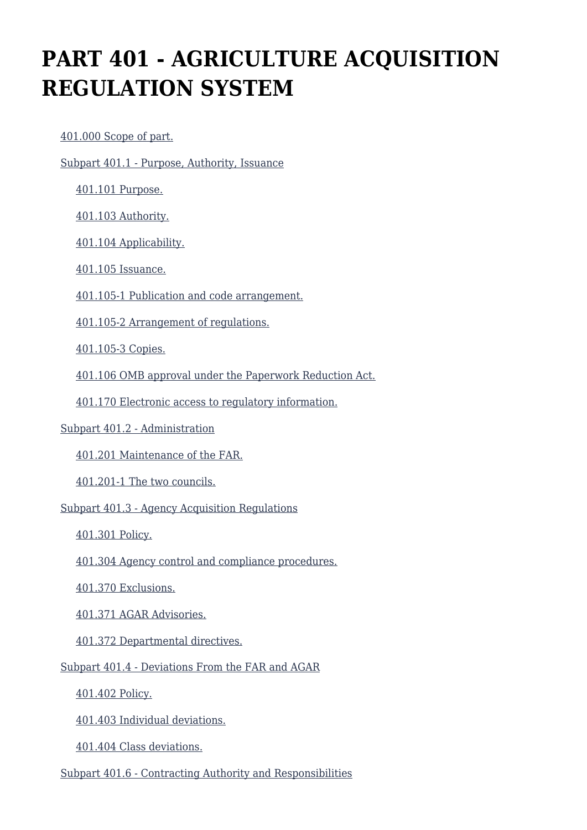# **PART 401 - AGRICULTURE ACQUISITION REGULATION SYSTEM**

[401.000 Scope of part.](https://origin-www.acquisition.gov/%5Brp:link:agar-part-401%5D#Section_401_000_T48_402112011)

[Subpart 401.1 - Purpose, Authority, Issuance](https://origin-www.acquisition.gov/%5Brp:link:agar-part-401%5D#Subpart_401_1_T48_4021121)

[401.101 Purpose.](https://origin-www.acquisition.gov/%5Brp:link:agar-part-401%5D#Section_401_101_T48_402112111)

[401.103 Authority.](https://origin-www.acquisition.gov/%5Brp:link:agar-part-401%5D#Section_401_103_T48_402112112)

[401.104 Applicability.](https://origin-www.acquisition.gov/%5Brp:link:agar-part-401%5D#Section_401_104_T48_402112113)

[401.105 Issuance.](https://origin-www.acquisition.gov/%5Brp:link:agar-part-401%5D#Section_401_105_T48_402112114)

[401.105-1 Publication and code arrangement.](https://origin-www.acquisition.gov/%5Brp:link:agar-part-401%5D#Section_401_105_1_T48_402112115)

[401.105-2 Arrangement of regulations.](https://origin-www.acquisition.gov/%5Brp:link:agar-part-401%5D#Section_401_105_2_T48_402112116)

[401.105-3 Copies.](https://origin-www.acquisition.gov/%5Brp:link:agar-part-401%5D#Section_401_105_3_T48_402112117)

[401.106 OMB approval under the Paperwork Reduction Act.](https://origin-www.acquisition.gov/%5Brp:link:agar-part-401%5D#Section_401_106_T48_402112118)

[401.170 Electronic access to regulatory information.](https://origin-www.acquisition.gov/%5Brp:link:agar-part-401%5D#Section_401_170_T48_402112119)

#### [Subpart 401.2 - Administration](https://origin-www.acquisition.gov/%5Brp:link:agar-part-401%5D#Subpart_401_2_T48_4021122)

[401.201 Maintenance of the FAR.](https://origin-www.acquisition.gov/%5Brp:link:agar-part-401%5D#Section_401_201_T48_402112211)

[401.201-1 The two councils.](https://origin-www.acquisition.gov/%5Brp:link:agar-part-401%5D#Section_401_201_1_T48_402112212)

[Subpart 401.3 - Agency Acquisition Regulations](https://origin-www.acquisition.gov/%5Brp:link:agar-part-401%5D#Subpart_401_3_T48_4021123)

[401.301 Policy.](https://origin-www.acquisition.gov/%5Brp:link:agar-part-401%5D#Section_401_301_T48_402112311)

[401.304 Agency control and compliance procedures.](https://origin-www.acquisition.gov/%5Brp:link:agar-part-401%5D#Section_401_304_T48_402112312)

[401.370 Exclusions.](https://origin-www.acquisition.gov/%5Brp:link:agar-part-401%5D#Section_401_370_T48_402112313)

[401.371 AGAR Advisories.](https://origin-www.acquisition.gov/%5Brp:link:agar-part-401%5D#Section_401_371_T48_402112314)

[401.372 Departmental directives.](https://origin-www.acquisition.gov/%5Brp:link:agar-part-401%5D#Section_401_372_T48_402112315)

[Subpart 401.4 - Deviations From the FAR and AGAR](https://origin-www.acquisition.gov/%5Brp:link:agar-part-401%5D#Subpart_401_4_T48_4021124)

[401.402 Policy.](https://origin-www.acquisition.gov/%5Brp:link:agar-part-401%5D#Section_401_402_T48_402112411)

[401.403 Individual deviations.](https://origin-www.acquisition.gov/%5Brp:link:agar-part-401%5D#Section_401_403_T48_402112412)

[401.404 Class deviations.](https://origin-www.acquisition.gov/%5Brp:link:agar-part-401%5D#Section_401_404_T48_402112413)

[Subpart 401.6 - Contracting Authority and Responsibilities](https://origin-www.acquisition.gov/%5Brp:link:agar-part-401%5D#Subpart_401_6_T48_4021125)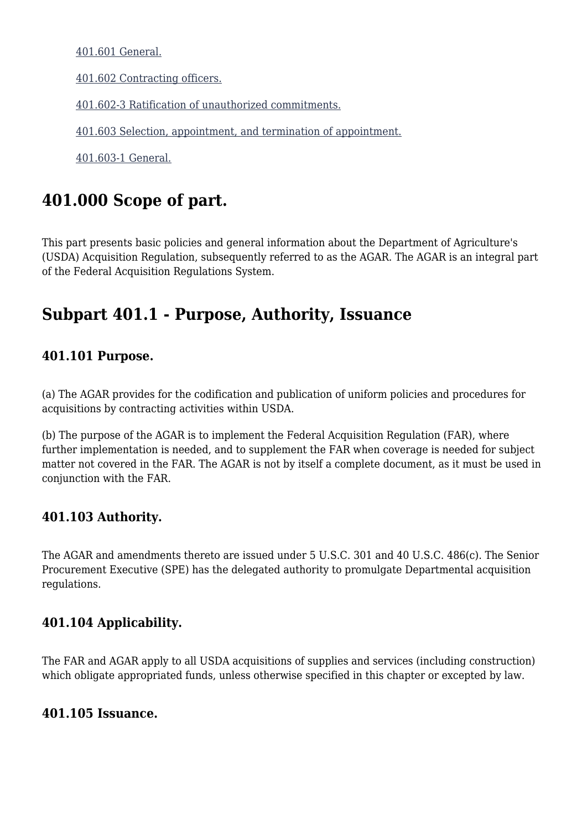[401.601 General.](https://origin-www.acquisition.gov/%5Brp:link:agar-part-401%5D#Section_401_601_T48_402112511)

[401.602 Contracting officers.](https://origin-www.acquisition.gov/%5Brp:link:agar-part-401%5D#Section_401_602_T48_402112512)

[401.602-3 Ratification of unauthorized commitments.](https://origin-www.acquisition.gov/%5Brp:link:agar-part-401%5D#Section_401_602_3_T48_402112513)

[401.603 Selection, appointment, and termination of appointment.](https://origin-www.acquisition.gov/%5Brp:link:agar-part-401%5D#Section_401_603_T48_402112514)

[401.603-1 General.](https://origin-www.acquisition.gov/%5Brp:link:agar-part-401%5D#Section_401_603_1_T48_402112515)

### **401.000 Scope of part.**

This part presents basic policies and general information about the Department of Agriculture's (USDA) Acquisition Regulation, subsequently referred to as the AGAR. The AGAR is an integral part of the Federal Acquisition Regulations System.

### **Subpart 401.1 - Purpose, Authority, Issuance**

#### **401.101 Purpose.**

(a) The AGAR provides for the codification and publication of uniform policies and procedures for acquisitions by contracting activities within USDA.

(b) The purpose of the AGAR is to implement the Federal Acquisition Regulation (FAR), where further implementation is needed, and to supplement the FAR when coverage is needed for subject matter not covered in the FAR. The AGAR is not by itself a complete document, as it must be used in conjunction with the FAR.

#### **401.103 Authority.**

The AGAR and amendments thereto are issued under 5 U.S.C. 301 and 40 U.S.C. 486(c). The Senior Procurement Executive (SPE) has the delegated authority to promulgate Departmental acquisition regulations.

#### **401.104 Applicability.**

The FAR and AGAR apply to all USDA acquisitions of supplies and services (including construction) which obligate appropriated funds, unless otherwise specified in this chapter or excepted by law.

#### **401.105 Issuance.**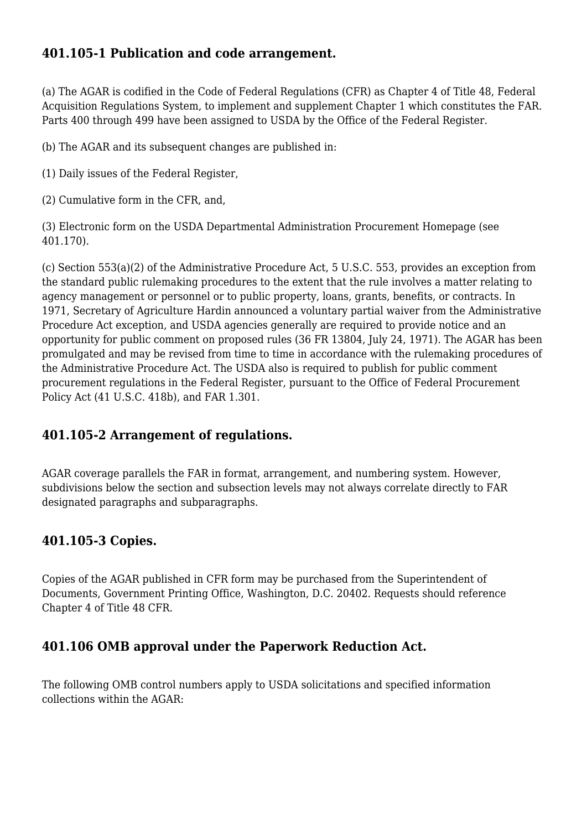#### **401.105-1 Publication and code arrangement.**

(a) The AGAR is codified in the Code of Federal Regulations (CFR) as Chapter 4 of Title 48, Federal Acquisition Regulations System, to implement and supplement Chapter 1 which constitutes the FAR. Parts 400 through 499 have been assigned to USDA by the Office of the Federal Register.

(b) The AGAR and its subsequent changes are published in:

(1) Daily issues of the Federal Register,

(2) Cumulative form in the CFR, and,

(3) Electronic form on the USDA Departmental Administration Procurement Homepage (see 401.170).

(c) Section 553(a)(2) of the Administrative Procedure Act, 5 U.S.C. 553, provides an exception from the standard public rulemaking procedures to the extent that the rule involves a matter relating to agency management or personnel or to public property, loans, grants, benefits, or contracts. In 1971, Secretary of Agriculture Hardin announced a voluntary partial waiver from the Administrative Procedure Act exception, and USDA agencies generally are required to provide notice and an opportunity for public comment on proposed rules (36 FR 13804, July 24, 1971). The AGAR has been promulgated and may be revised from time to time in accordance with the rulemaking procedures of the Administrative Procedure Act. The USDA also is required to publish for public comment procurement regulations in the Federal Register, pursuant to the Office of Federal Procurement Policy Act (41 U.S.C. 418b), and FAR 1.301.

#### **401.105-2 Arrangement of regulations.**

AGAR coverage parallels the FAR in format, arrangement, and numbering system. However, subdivisions below the section and subsection levels may not always correlate directly to FAR designated paragraphs and subparagraphs.

#### **401.105-3 Copies.**

Copies of the AGAR published in CFR form may be purchased from the Superintendent of Documents, Government Printing Office, Washington, D.C. 20402. Requests should reference Chapter 4 of Title 48 CFR.

#### **401.106 OMB approval under the Paperwork Reduction Act.**

The following OMB control numbers apply to USDA solicitations and specified information collections within the AGAR: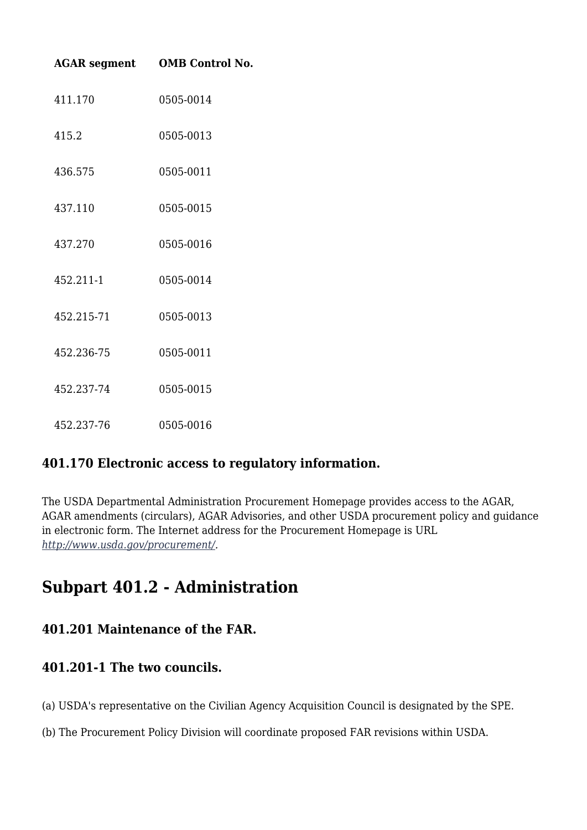|            | <b>AGAR segment OMB Control No.</b> |
|------------|-------------------------------------|
| 411.170    | 0505-0014                           |
| 415.2      | 0505-0013                           |
| 436.575    | 0505-0011                           |
| 437.110    | 0505-0015                           |
| 437.270    | 0505-0016                           |
| 452.211-1  | 0505-0014                           |
| 452.215-71 | 0505-0013                           |
| 452.236-75 | 0505-0011                           |
| 452.237-74 | 0505-0015                           |
| 452.237-76 | 0505-0016                           |

#### **401.170 Electronic access to regulatory information.**

The USDA Departmental Administration Procurement Homepage provides access to the AGAR, AGAR amendments (circulars), AGAR Advisories, and other USDA procurement policy and guidance in electronic form. The Internet address for the Procurement Homepage is URL *<http://www.usda.gov/procurement/>.*

### **Subpart 401.2 - Administration**

#### **401.201 Maintenance of the FAR.**

#### **401.201-1 The two councils.**

- (a) USDA's representative on the Civilian Agency Acquisition Council is designated by the SPE.
- (b) The Procurement Policy Division will coordinate proposed FAR revisions within USDA.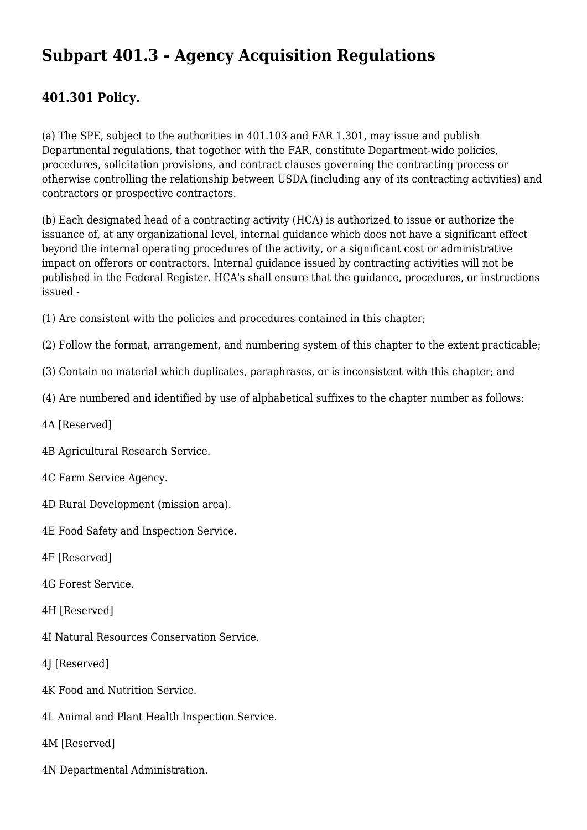## **Subpart 401.3 - Agency Acquisition Regulations**

#### **401.301 Policy.**

(a) The SPE, subject to the authorities in 401.103 and FAR 1.301, may issue and publish Departmental regulations, that together with the FAR, constitute Department-wide policies, procedures, solicitation provisions, and contract clauses governing the contracting process or otherwise controlling the relationship between USDA (including any of its contracting activities) and contractors or prospective contractors.

(b) Each designated head of a contracting activity (HCA) is authorized to issue or authorize the issuance of, at any organizational level, internal guidance which does not have a significant effect beyond the internal operating procedures of the activity, or a significant cost or administrative impact on offerors or contractors. Internal guidance issued by contracting activities will not be published in the Federal Register. HCA's shall ensure that the guidance, procedures, or instructions issued -

(1) Are consistent with the policies and procedures contained in this chapter;

(2) Follow the format, arrangement, and numbering system of this chapter to the extent practicable;

(3) Contain no material which duplicates, paraphrases, or is inconsistent with this chapter; and

(4) Are numbered and identified by use of alphabetical suffixes to the chapter number as follows:

- 4A [Reserved]
- 4B Agricultural Research Service.
- 4C Farm Service Agency.
- 4D Rural Development (mission area).
- 4E Food Safety and Inspection Service.
- 4F [Reserved]
- 4G Forest Service.
- 4H [Reserved]
- 4I Natural Resources Conservation Service.
- 4J [Reserved]
- 4K Food and Nutrition Service.
- 4L Animal and Plant Health Inspection Service.
- 4M [Reserved]
- 4N Departmental Administration.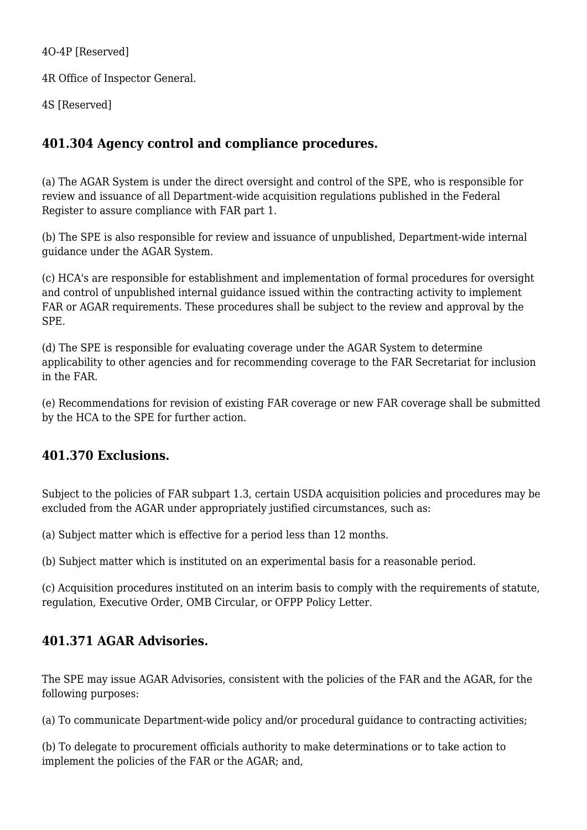4O-4P [Reserved]

4R Office of Inspector General.

4S [Reserved]

#### **401.304 Agency control and compliance procedures.**

(a) The AGAR System is under the direct oversight and control of the SPE, who is responsible for review and issuance of all Department-wide acquisition regulations published in the Federal Register to assure compliance with FAR part 1.

(b) The SPE is also responsible for review and issuance of unpublished, Department-wide internal guidance under the AGAR System.

(c) HCA's are responsible for establishment and implementation of formal procedures for oversight and control of unpublished internal guidance issued within the contracting activity to implement FAR or AGAR requirements. These procedures shall be subject to the review and approval by the SPE.

(d) The SPE is responsible for evaluating coverage under the AGAR System to determine applicability to other agencies and for recommending coverage to the FAR Secretariat for inclusion in the FAR.

(e) Recommendations for revision of existing FAR coverage or new FAR coverage shall be submitted by the HCA to the SPE for further action.

#### **401.370 Exclusions.**

Subject to the policies of FAR subpart 1.3, certain USDA acquisition policies and procedures may be excluded from the AGAR under appropriately justified circumstances, such as:

(a) Subject matter which is effective for a period less than 12 months.

(b) Subject matter which is instituted on an experimental basis for a reasonable period.

(c) Acquisition procedures instituted on an interim basis to comply with the requirements of statute, regulation, Executive Order, OMB Circular, or OFPP Policy Letter.

#### **401.371 AGAR Advisories.**

The SPE may issue AGAR Advisories, consistent with the policies of the FAR and the AGAR, for the following purposes:

(a) To communicate Department-wide policy and/or procedural guidance to contracting activities;

(b) To delegate to procurement officials authority to make determinations or to take action to implement the policies of the FAR or the AGAR; and,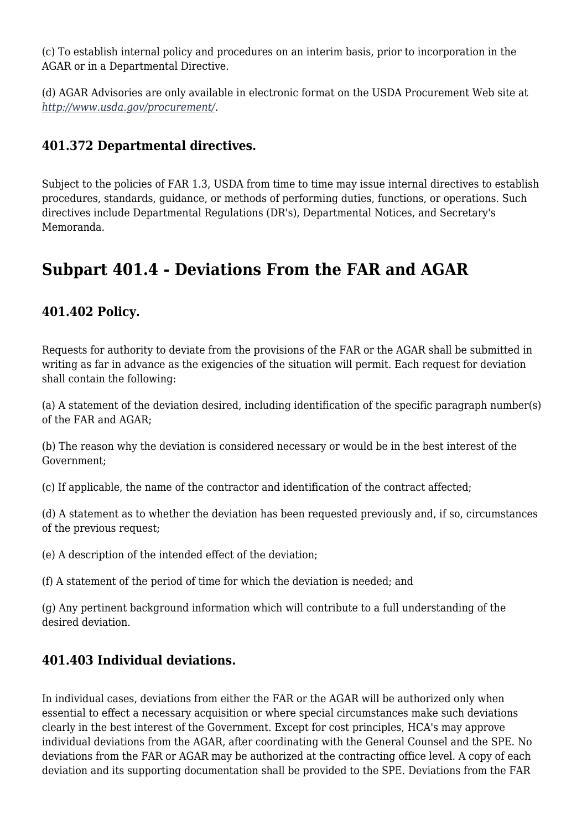(c) To establish internal policy and procedures on an interim basis, prior to incorporation in the AGAR or in a Departmental Directive.

(d) AGAR Advisories are only available in electronic format on the USDA Procurement Web site at *<http://www.usda.gov/procurement/>.*

#### **401.372 Departmental directives.**

Subject to the policies of FAR 1.3, USDA from time to time may issue internal directives to establish procedures, standards, guidance, or methods of performing duties, functions, or operations. Such directives include Departmental Regulations (DR's), Departmental Notices, and Secretary's Memoranda.

### **Subpart 401.4 - Deviations From the FAR and AGAR**

#### **401.402 Policy.**

Requests for authority to deviate from the provisions of the FAR or the AGAR shall be submitted in writing as far in advance as the exigencies of the situation will permit. Each request for deviation shall contain the following:

(a) A statement of the deviation desired, including identification of the specific paragraph number(s) of the FAR and AGAR;

(b) The reason why the deviation is considered necessary or would be in the best interest of the Government;

(c) If applicable, the name of the contractor and identification of the contract affected;

(d) A statement as to whether the deviation has been requested previously and, if so, circumstances of the previous request;

(e) A description of the intended effect of the deviation;

(f) A statement of the period of time for which the deviation is needed; and

(g) Any pertinent background information which will contribute to a full understanding of the desired deviation.

#### **401.403 Individual deviations.**

In individual cases, deviations from either the FAR or the AGAR will be authorized only when essential to effect a necessary acquisition or where special circumstances make such deviations clearly in the best interest of the Government. Except for cost principles, HCA's may approve individual deviations from the AGAR, after coordinating with the General Counsel and the SPE. No deviations from the FAR or AGAR may be authorized at the contracting office level. A copy of each deviation and its supporting documentation shall be provided to the SPE. Deviations from the FAR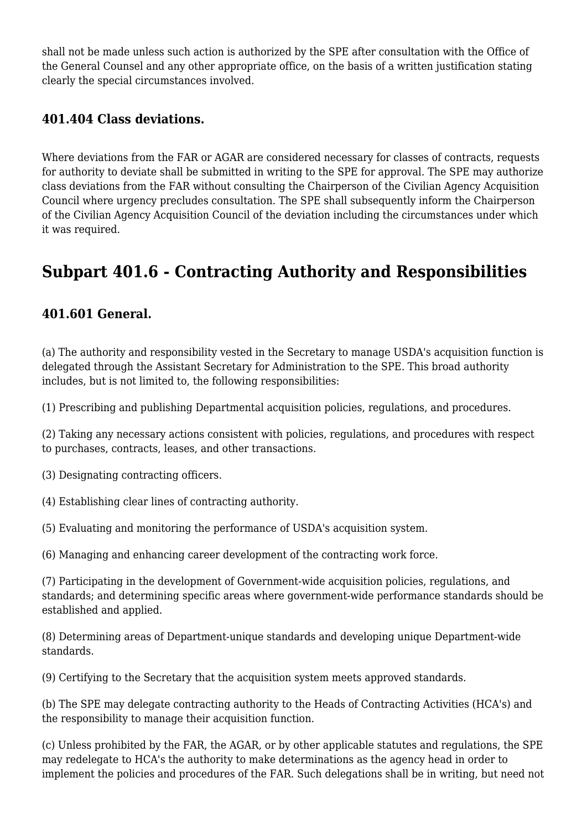shall not be made unless such action is authorized by the SPE after consultation with the Office of the General Counsel and any other appropriate office, on the basis of a written justification stating clearly the special circumstances involved.

#### **401.404 Class deviations.**

Where deviations from the FAR or AGAR are considered necessary for classes of contracts, requests for authority to deviate shall be submitted in writing to the SPE for approval. The SPE may authorize class deviations from the FAR without consulting the Chairperson of the Civilian Agency Acquisition Council where urgency precludes consultation. The SPE shall subsequently inform the Chairperson of the Civilian Agency Acquisition Council of the deviation including the circumstances under which it was required.

## **Subpart 401.6 - Contracting Authority and Responsibilities**

#### **401.601 General.**

(a) The authority and responsibility vested in the Secretary to manage USDA's acquisition function is delegated through the Assistant Secretary for Administration to the SPE. This broad authority includes, but is not limited to, the following responsibilities:

(1) Prescribing and publishing Departmental acquisition policies, regulations, and procedures.

(2) Taking any necessary actions consistent with policies, regulations, and procedures with respect to purchases, contracts, leases, and other transactions.

(3) Designating contracting officers.

(4) Establishing clear lines of contracting authority.

(5) Evaluating and monitoring the performance of USDA's acquisition system.

(6) Managing and enhancing career development of the contracting work force.

(7) Participating in the development of Government-wide acquisition policies, regulations, and standards; and determining specific areas where government-wide performance standards should be established and applied.

(8) Determining areas of Department-unique standards and developing unique Department-wide standards.

(9) Certifying to the Secretary that the acquisition system meets approved standards.

(b) The SPE may delegate contracting authority to the Heads of Contracting Activities (HCA's) and the responsibility to manage their acquisition function.

(c) Unless prohibited by the FAR, the AGAR, or by other applicable statutes and regulations, the SPE may redelegate to HCA's the authority to make determinations as the agency head in order to implement the policies and procedures of the FAR. Such delegations shall be in writing, but need not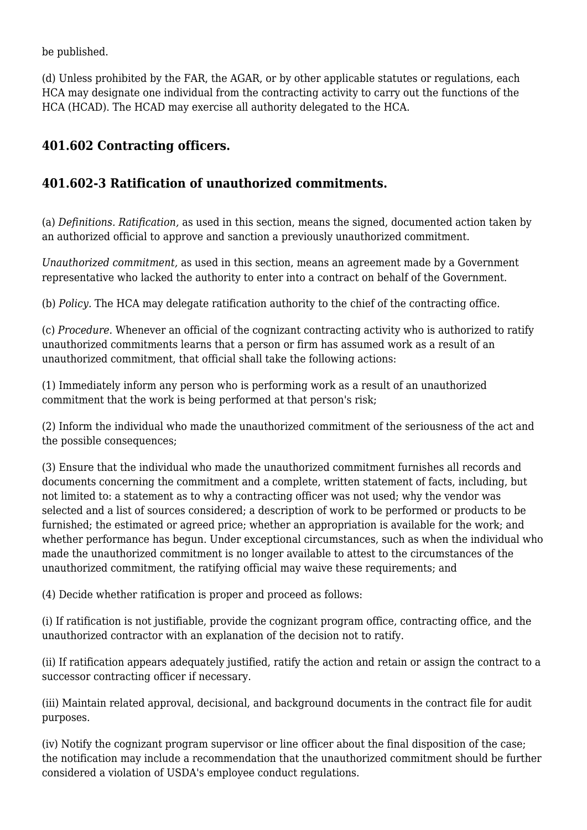be published.

(d) Unless prohibited by the FAR, the AGAR, or by other applicable statutes or regulations, each HCA may designate one individual from the contracting activity to carry out the functions of the HCA (HCAD). The HCAD may exercise all authority delegated to the HCA.

### **401.602 Contracting officers.**

#### **401.602-3 Ratification of unauthorized commitments.**

(a) *Definitions. Ratification,* as used in this section, means the signed, documented action taken by an authorized official to approve and sanction a previously unauthorized commitment.

*Unauthorized commitment,* as used in this section, means an agreement made by a Government representative who lacked the authority to enter into a contract on behalf of the Government.

(b) *Policy.* The HCA may delegate ratification authority to the chief of the contracting office.

(c) *Procedure.* Whenever an official of the cognizant contracting activity who is authorized to ratify unauthorized commitments learns that a person or firm has assumed work as a result of an unauthorized commitment, that official shall take the following actions:

(1) Immediately inform any person who is performing work as a result of an unauthorized commitment that the work is being performed at that person's risk;

(2) Inform the individual who made the unauthorized commitment of the seriousness of the act and the possible consequences;

(3) Ensure that the individual who made the unauthorized commitment furnishes all records and documents concerning the commitment and a complete, written statement of facts, including, but not limited to: a statement as to why a contracting officer was not used; why the vendor was selected and a list of sources considered; a description of work to be performed or products to be furnished; the estimated or agreed price; whether an appropriation is available for the work; and whether performance has begun. Under exceptional circumstances, such as when the individual who made the unauthorized commitment is no longer available to attest to the circumstances of the unauthorized commitment, the ratifying official may waive these requirements; and

(4) Decide whether ratification is proper and proceed as follows:

(i) If ratification is not justifiable, provide the cognizant program office, contracting office, and the unauthorized contractor with an explanation of the decision not to ratify.

(ii) If ratification appears adequately justified, ratify the action and retain or assign the contract to a successor contracting officer if necessary.

(iii) Maintain related approval, decisional, and background documents in the contract file for audit purposes.

(iv) Notify the cognizant program supervisor or line officer about the final disposition of the case; the notification may include a recommendation that the unauthorized commitment should be further considered a violation of USDA's employee conduct regulations.